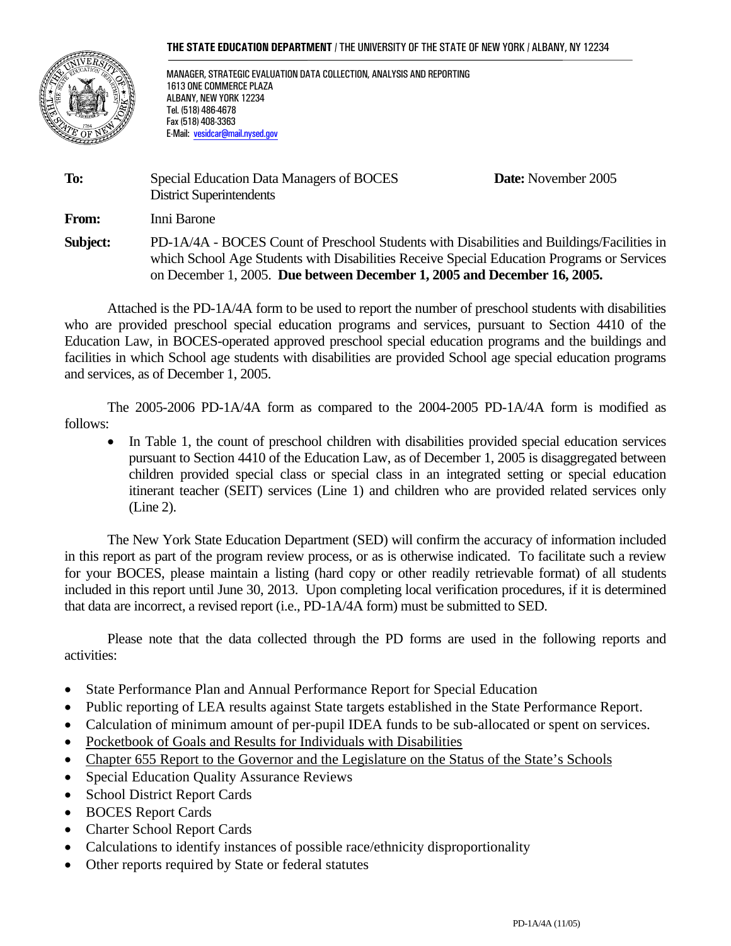#### **THE STATE EDUCATION DEPARTMENT** / THE UNIVERSITY OF THE STATE OF NEW YORK / ALBANY, NY 12234



MANAGER, STRATEGIC EVALUATION DATA COLLECTION, ANALYSIS AND REPORTING 1613 ONE COMMERCE PLAZA ALBANY, NEW YORK 12234 Tel. (518) 486-4678 Fax (518) 408-3363 E-Mail: vesidcar@mail.nysed.gov

| To:      | Special Education Data Managers of BOCES<br><b>District Superintendents</b>                                                                                                                                                                                          | <b>Date:</b> November 2005 |
|----------|----------------------------------------------------------------------------------------------------------------------------------------------------------------------------------------------------------------------------------------------------------------------|----------------------------|
| From:    | Inni Barone                                                                                                                                                                                                                                                          |                            |
| Subject: | PD-1A/4A - BOCES Count of Preschool Students with Disabilities and Buildings/Facilities in<br>which School Age Students with Disabilities Receive Special Education Programs or Services<br>on December 1, 2005. Due between December 1, 2005 and December 16, 2005. |                            |

 Attached is the PD-1A/4A form to be used to report the number of preschool students with disabilities who are provided preschool special education programs and services, pursuant to Section 4410 of the Education Law, in BOCES-operated approved preschool special education programs and the buildings and facilities in which School age students with disabilities are provided School age special education programs and services, as of December 1, 2005.

 The 2005-2006 PD-1A/4A form as compared to the 2004-2005 PD-1A/4A form is modified as follows:

• In Table 1, the count of preschool children with disabilities provided special education services pursuant to Section 4410 of the Education Law, as of December 1, 2005 is disaggregated between children provided special class or special class in an integrated setting or special education itinerant teacher (SEIT) services (Line 1) and children who are provided related services only (Line 2).

The New York State Education Department (SED) will confirm the accuracy of information included in this report as part of the program review process, or as is otherwise indicated. To facilitate such a review for your BOCES, please maintain a listing (hard copy or other readily retrievable format) of all students included in this report until June 30, 2013. Upon completing local verification procedures, if it is determined that data are incorrect, a revised report (i.e., PD-1A/4A form) must be submitted to SED.

Please note that the data collected through the PD forms are used in the following reports and activities:

- State Performance Plan and Annual Performance Report for Special Education
- Public reporting of LEA results against State targets established in the State Performance Report.
- Calculation of minimum amount of per-pupil IDEA funds to be sub-allocated or spent on services.
- Pocketbook of Goals and Results for Individuals with Disabilities
- Chapter 655 Report to the Governor and the Legislature on the Status of the State's Schools
- Special Education Quality Assurance Reviews
- School District Report Cards
- BOCES Report Cards
- Charter School Report Cards
- Calculations to identify instances of possible race/ethnicity disproportionality
- Other reports required by State or federal statutes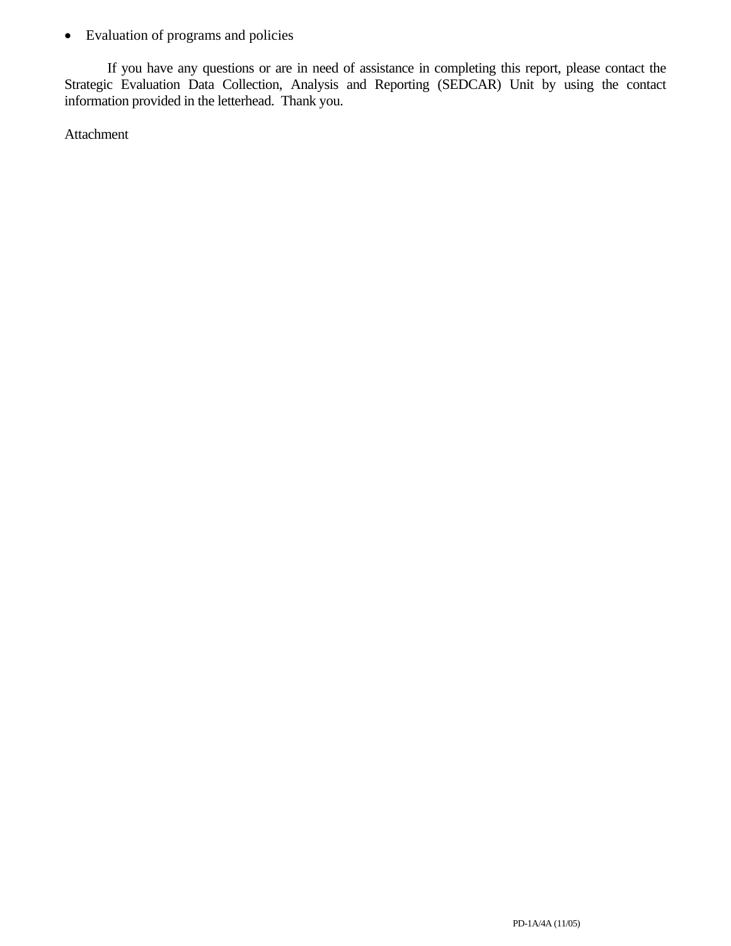• Evaluation of programs and policies

If you have any questions or are in need of assistance in completing this report, please contact the Strategic Evaluation Data Collection, Analysis and Reporting (SEDCAR) Unit by using the contact information provided in the letterhead. Thank you.

Attachment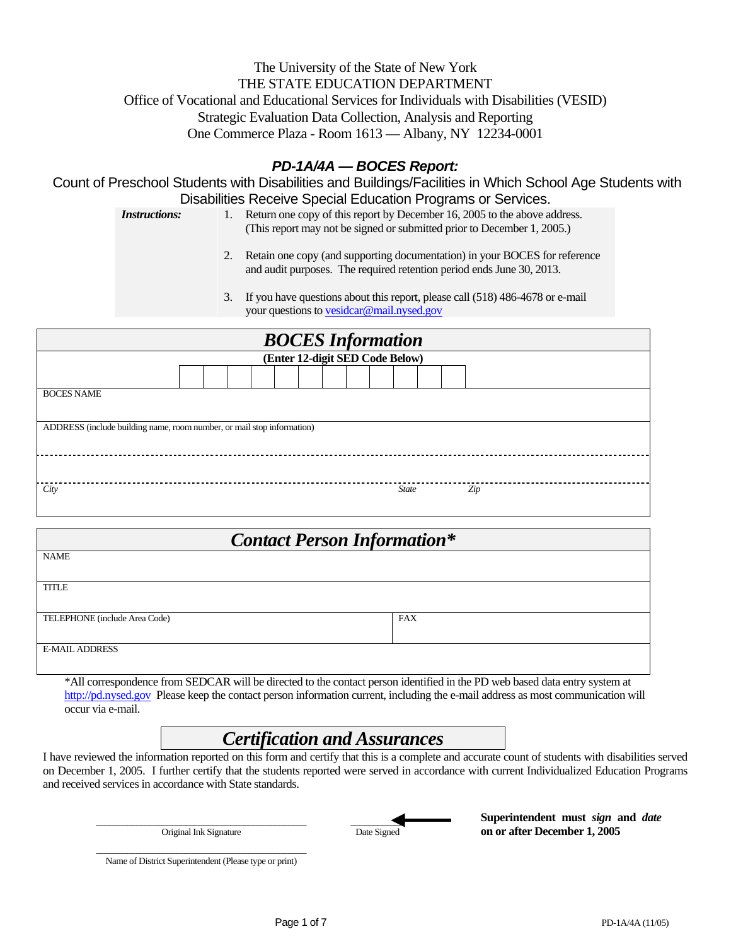# The University of the State of New York THE STATE EDUCATION DEPARTMENT Office of Vocational and Educational Services for Individuals with Disabilities (VESID) Strategic Evaluation Data Collection, Analysis and Reporting One Commerce Plaza - Room 1613 — Albany, NY 12234-0001

# *PD-1A/4A — BOCES Report:*

Count of Preschool Students with Disabilities and Buildings/Facilities in Which School Age Students with Disabilities Receive Special Education Programs or Services.

*Instructions:* 1. Return one copy of this report by December 16, 2005 to the above address. (This report may not be signed or submitted prior to December 1, 2005.)

> 2. Retain one copy (and supporting documentation) in your BOCES for reference and audit purposes. The required retention period ends June 30, 2013.

3. If you have questions about this report, please call (518) 486-4678 or e-mail your questions to vesidcar@mail.nysed.gov

| <b>BOCES</b> Information                                               |  |  |  |  |  |  |  |  |  |              |  |     |  |  |  |
|------------------------------------------------------------------------|--|--|--|--|--|--|--|--|--|--------------|--|-----|--|--|--|
| (Enter 12-digit SED Code Below)                                        |  |  |  |  |  |  |  |  |  |              |  |     |  |  |  |
|                                                                        |  |  |  |  |  |  |  |  |  |              |  |     |  |  |  |
| <b>BOCES NAME</b>                                                      |  |  |  |  |  |  |  |  |  |              |  |     |  |  |  |
|                                                                        |  |  |  |  |  |  |  |  |  |              |  |     |  |  |  |
| ADDRESS (include building name, room number, or mail stop information) |  |  |  |  |  |  |  |  |  |              |  |     |  |  |  |
|                                                                        |  |  |  |  |  |  |  |  |  |              |  |     |  |  |  |
|                                                                        |  |  |  |  |  |  |  |  |  |              |  |     |  |  |  |
|                                                                        |  |  |  |  |  |  |  |  |  |              |  |     |  |  |  |
| City                                                                   |  |  |  |  |  |  |  |  |  | <b>State</b> |  | Zip |  |  |  |
|                                                                        |  |  |  |  |  |  |  |  |  |              |  |     |  |  |  |

| <b>Contact Person Information*</b> |            |  |  |  |  |  |  |  |
|------------------------------------|------------|--|--|--|--|--|--|--|
| <b>NAME</b>                        |            |  |  |  |  |  |  |  |
| <b>TITLE</b>                       |            |  |  |  |  |  |  |  |
| TELEPHONE (include Area Code)      | <b>FAX</b> |  |  |  |  |  |  |  |
| <b>E-MAIL ADDRESS</b>              |            |  |  |  |  |  |  |  |

\*All correspondence from SEDCAR will be directed to the contact person identified in the PD web based data entry system at http://pd.nysed.gov Please keep the contact person information current, including the e-mail address as most communication will occur via e-mail.

# *Certification and Assurances*

I have reviewed the information reported on this form and certify that this is a complete and accurate count of students with disabilities served on December 1, 2005. I further certify that the students reported were served in accordance with current Individualized Education Programs and received services in accordance with State standards.

\_\_\_\_\_\_\_\_\_\_\_\_\_\_\_\_\_\_\_\_\_\_\_\_\_\_\_\_\_\_\_\_\_\_\_\_\_\_\_\_\_\_\_\_\_\_\_ Original Ink Signature

 $\overline{\phantom{a}}$ Date Signed

**Superintendent must** *sign* **and** *date* **on or after December 1, 2005** 

\_\_\_\_\_\_\_\_\_\_\_\_\_\_\_\_\_\_\_\_\_\_\_\_\_\_\_\_\_\_\_\_\_\_\_\_\_\_\_\_\_\_\_\_\_\_\_ Name of District Superintendent (Please type or print)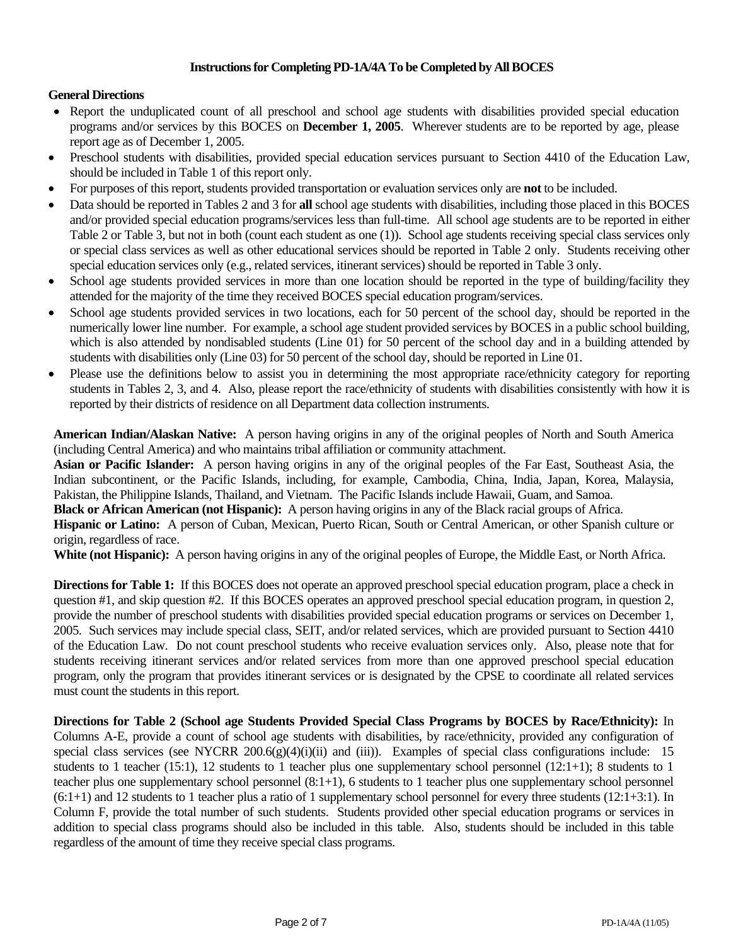### **Instructions for Completing PD-1A/4A To be Completed by All BOCES**

### **General Directions**

- Report the unduplicated count of all preschool and school age students with disabilities provided special education programs and/or services by this BOCES on **December 1, 2005**. Wherever students are to be reported by age, please report age as of December 1, 2005.
- Preschool students with disabilities, provided special education services pursuant to Section 4410 of the Education Law, should be included in Table 1 of this report only.
- For purposes of this report, students provided transportation or evaluation services only are **not** to be included.
- Data should be reported in Tables 2 and 3 for **all** school age students with disabilities, including those placed in this BOCES and/or provided special education programs/services less than full-time. All school age students are to be reported in either Table 2 or Table 3, but not in both (count each student as one (1)). School age students receiving special class services only or special class services as well as other educational services should be reported in Table 2 only. Students receiving other special education services only (e.g., related services, itinerant services) should be reported in Table 3 only.
- School age students provided services in more than one location should be reported in the type of building/facility they attended for the majority of the time they received BOCES special education program/services.
- School age students provided services in two locations, each for 50 percent of the school day, should be reported in the numerically lower line number. For example, a school age student provided services by BOCES in a public school building, which is also attended by nondisabled students (Line 01) for 50 percent of the school day and in a building attended by students with disabilities only (Line 03) for 50 percent of the school day, should be reported in Line 01.
- Please use the definitions below to assist you in determining the most appropriate race/ethnicity category for reporting students in Tables 2, 3, and 4. Also, please report the race/ethnicity of students with disabilities consistently with how it is reported by their districts of residence on all Department data collection instruments.

**American Indian/Alaskan Native:** A person having origins in any of the original peoples of North and South America (including Central America) and who maintains tribal affiliation or community attachment.

**Asian or Pacific Islander:** A person having origins in any of the original peoples of the Far East, Southeast Asia, the Indian subcontinent, or the Pacific Islands, including, for example, Cambodia, China, India, Japan, Korea, Malaysia, Pakistan, the Philippine Islands, Thailand, and Vietnam. The Pacific Islands include Hawaii, Guam, and Samoa.

**Black or African American (not Hispanic):** A person having origins in any of the Black racial groups of Africa.

**Hispanic or Latino:** A person of Cuban, Mexican, Puerto Rican, South or Central American, or other Spanish culture or origin, regardless of race.

**White (not Hispanic):** A person having origins in any of the original peoples of Europe, the Middle East, or North Africa.

**Directions for Table 1:** If this BOCES does not operate an approved preschool special education program, place a check in question #1, and skip question #2. If this BOCES operates an approved preschool special education program, in question 2, provide the number of preschool students with disabilities provided special education programs or services on December 1, 2005. Such services may include special class, SEIT, and/or related services, which are provided pursuant to Section 4410 of the Education Law. Do not count preschool students who receive evaluation services only. Also, please note that for students receiving itinerant services and/or related services from more than one approved preschool special education program, only the program that provides itinerant services or is designated by the CPSE to coordinate all related services must count the students in this report.

**Directions for Table 2 (School age Students Provided Special Class Programs by BOCES by Race/Ethnicity):** In Columns A-E, provide a count of school age students with disabilities, by race/ethnicity, provided any configuration of special class services (see NYCRR 200.6(g)(4)(i)(ii) and (iii)). Examples of special class configurations include: 15 students to 1 teacher (15:1), 12 students to 1 teacher plus one supplementary school personnel (12:1+1); 8 students to 1 teacher plus one supplementary school personnel (8:1+1), 6 students to 1 teacher plus one supplementary school personnel  $(6:1+1)$  and 12 students to 1 teacher plus a ratio of 1 supplementary school personnel for every three students  $(12:1+3:1)$ . In Column F, provide the total number of such students. Students provided other special education programs or services in addition to special class programs should also be included in this table. Also, students should be included in this table regardless of the amount of time they receive special class programs.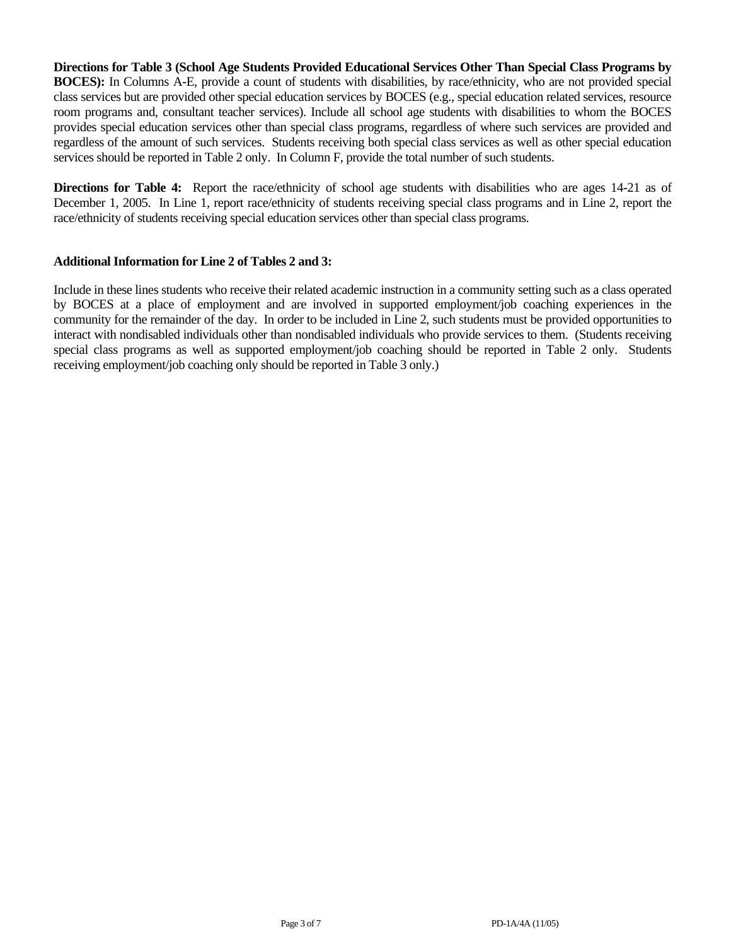**Directions for Table 3 (School Age Students Provided Educational Services Other Than Special Class Programs by BOCES):** In Columns A-E, provide a count of students with disabilities, by race/ethnicity, who are not provided special class services but are provided other special education services by BOCES (e.g., special education related services, resource room programs and, consultant teacher services). Include all school age students with disabilities to whom the BOCES provides special education services other than special class programs, regardless of where such services are provided and regardless of the amount of such services. Students receiving both special class services as well as other special education services should be reported in Table 2 only. In Column F, provide the total number of such students.

**Directions for Table 4:** Report the race/ethnicity of school age students with disabilities who are ages 14-21 as of December 1, 2005. In Line 1, report race/ethnicity of students receiving special class programs and in Line 2, report the race/ethnicity of students receiving special education services other than special class programs.

#### **Additional Information for Line 2 of Tables 2 and 3:**

Include in these lines students who receive their related academic instruction in a community setting such as a class operated by BOCES at a place of employment and are involved in supported employment/job coaching experiences in the community for the remainder of the day. In order to be included in Line 2, such students must be provided opportunities to interact with nondisabled individuals other than nondisabled individuals who provide services to them. (Students receiving special class programs as well as supported employment/job coaching should be reported in Table 2 only. Students receiving employment/job coaching only should be reported in Table 3 only.)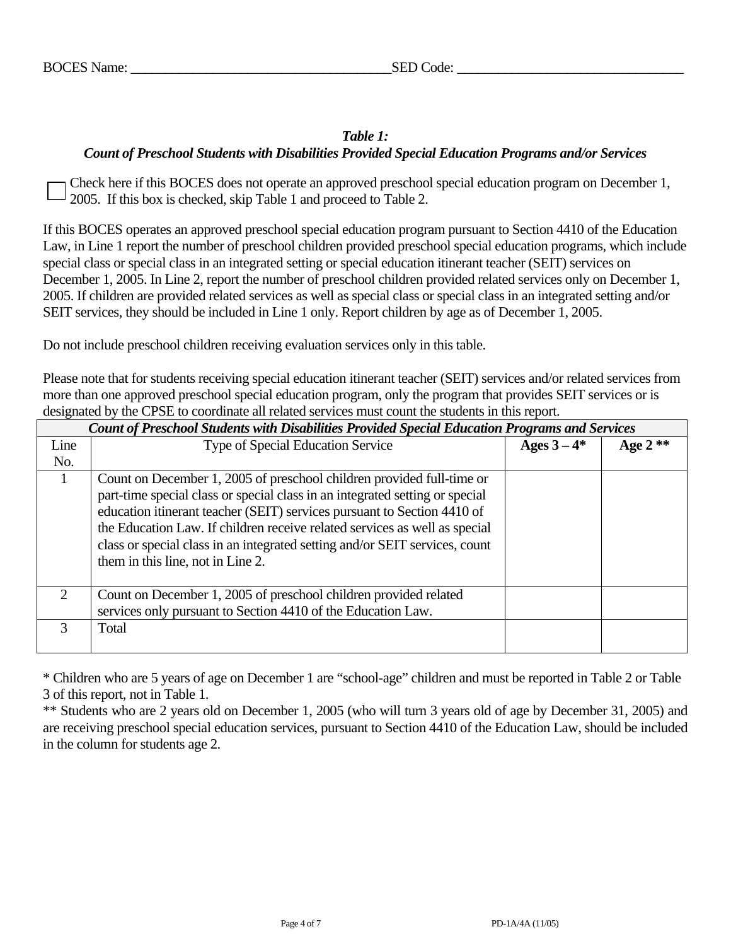# *Table 1: Count of Preschool Students with Disabilities Provided Special Education Programs and/or Services*

Check here if this BOCES does not operate an approved preschool special education program on December 1, 2005. If this box is checked, skip Table 1 and proceed to Table 2.

If this BOCES operates an approved preschool special education program pursuant to Section 4410 of the Education Law, in Line 1 report the number of preschool children provided preschool special education programs, which include special class or special class in an integrated setting or special education itinerant teacher (SEIT) services on December 1, 2005. In Line 2, report the number of preschool children provided related services only on December 1, 2005. If children are provided related services as well as special class or special class in an integrated setting and/or SEIT services, they should be included in Line 1 only. Report children by age as of December 1, 2005.

Do not include preschool children receiving evaluation services only in this table.

Please note that for students receiving special education itinerant teacher (SEIT) services and/or related services from more than one approved preschool special education program, only the program that provides SEIT services or is designated by the CPSE to coordinate all related services must count the students in this report.

|                             | Count of Preschool Students with Disabilities Provided Special Education Programs and Services                                                                                                                                                                                                                                                                                                                                     |             |           |  |  |  |  |  |  |  |
|-----------------------------|------------------------------------------------------------------------------------------------------------------------------------------------------------------------------------------------------------------------------------------------------------------------------------------------------------------------------------------------------------------------------------------------------------------------------------|-------------|-----------|--|--|--|--|--|--|--|
| Line                        | <b>Type of Special Education Service</b>                                                                                                                                                                                                                                                                                                                                                                                           | Ages $3-4*$ | Age $2**$ |  |  |  |  |  |  |  |
| No.                         |                                                                                                                                                                                                                                                                                                                                                                                                                                    |             |           |  |  |  |  |  |  |  |
|                             | Count on December 1, 2005 of preschool children provided full-time or<br>part-time special class or special class in an integrated setting or special<br>education itinerant teacher (SEIT) services pursuant to Section 4410 of<br>the Education Law. If children receive related services as well as special<br>class or special class in an integrated setting and/or SEIT services, count<br>them in this line, not in Line 2. |             |           |  |  |  |  |  |  |  |
| $\mathcal{D}_{\mathcal{L}}$ | Count on December 1, 2005 of preschool children provided related<br>services only pursuant to Section 4410 of the Education Law.                                                                                                                                                                                                                                                                                                   |             |           |  |  |  |  |  |  |  |
| 3                           | Total                                                                                                                                                                                                                                                                                                                                                                                                                              |             |           |  |  |  |  |  |  |  |

\* Children who are 5 years of age on December 1 are "school-age" children and must be reported in Table 2 or Table 3 of this report, not in Table 1.

\*\* Students who are 2 years old on December 1, 2005 (who will turn 3 years old of age by December 31, 2005) and are receiving preschool special education services, pursuant to Section 4410 of the Education Law, should be included in the column for students age 2.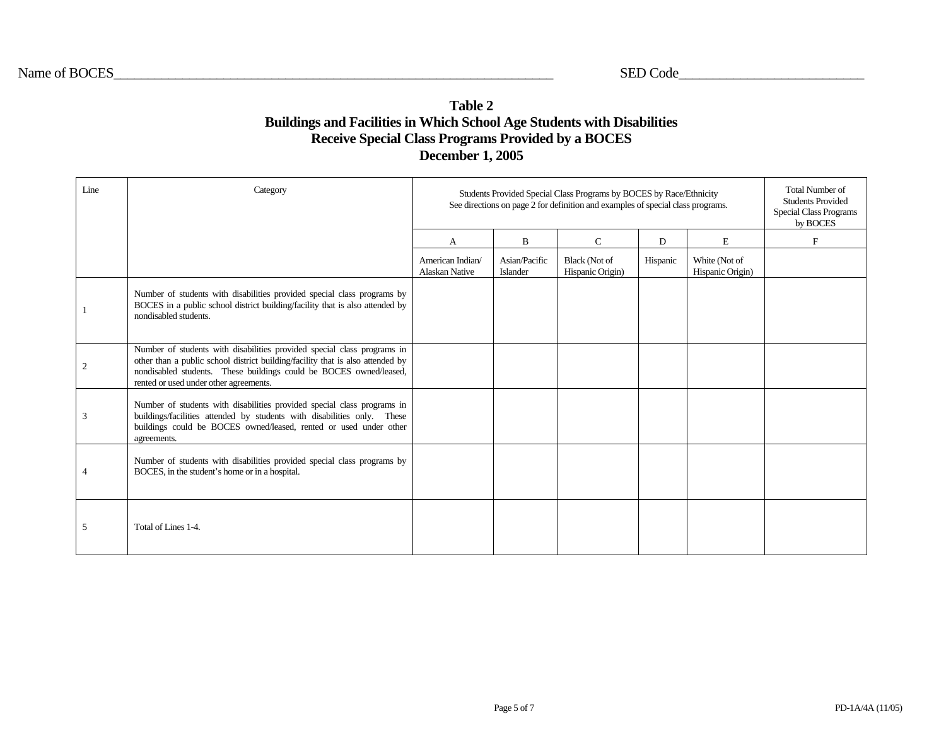## **Table 2 Buildings and Facilities in Which School Age Students with Disabilities Receive Special Class Programs Provided by a BOCES December 1, 2005**

| Line | Category                                                                                                                                                                                                                                                                  |                                           | Students Provided Special Class Programs by BOCES by Race/Ethnicity<br>See directions on page 2 for definition and examples of special class programs. |                                          |          |                                   |             |  |  |  |  |
|------|---------------------------------------------------------------------------------------------------------------------------------------------------------------------------------------------------------------------------------------------------------------------------|-------------------------------------------|--------------------------------------------------------------------------------------------------------------------------------------------------------|------------------------------------------|----------|-----------------------------------|-------------|--|--|--|--|
|      |                                                                                                                                                                                                                                                                           | A                                         | $\mathbf B$                                                                                                                                            | $\mathsf{C}$                             | D        | E                                 | $\mathbf F$ |  |  |  |  |
|      |                                                                                                                                                                                                                                                                           | American Indian/<br><b>Alaskan Native</b> | Asian/Pacific<br>Islander                                                                                                                              | <b>Black</b> (Not of<br>Hispanic Origin) | Hispanic | White (Not of<br>Hispanic Origin) |             |  |  |  |  |
|      | Number of students with disabilities provided special class programs by<br>BOCES in a public school district building/facility that is also attended by<br>nondisabled students.                                                                                          |                                           |                                                                                                                                                        |                                          |          |                                   |             |  |  |  |  |
| 2    | Number of students with disabilities provided special class programs in<br>other than a public school district building/facility that is also attended by<br>nondisabled students. These buildings could be BOCES owned/leased,<br>rented or used under other agreements. |                                           |                                                                                                                                                        |                                          |          |                                   |             |  |  |  |  |
| 3    | Number of students with disabilities provided special class programs in<br>buildings/facilities attended by students with disabilities only. These<br>buildings could be BOCES owned/leased, rented or used under other<br>agreements.                                    |                                           |                                                                                                                                                        |                                          |          |                                   |             |  |  |  |  |
| 4    | Number of students with disabilities provided special class programs by<br>BOCES, in the student's home or in a hospital.                                                                                                                                                 |                                           |                                                                                                                                                        |                                          |          |                                   |             |  |  |  |  |
| 5    | Total of Lines 1-4.                                                                                                                                                                                                                                                       |                                           |                                                                                                                                                        |                                          |          |                                   |             |  |  |  |  |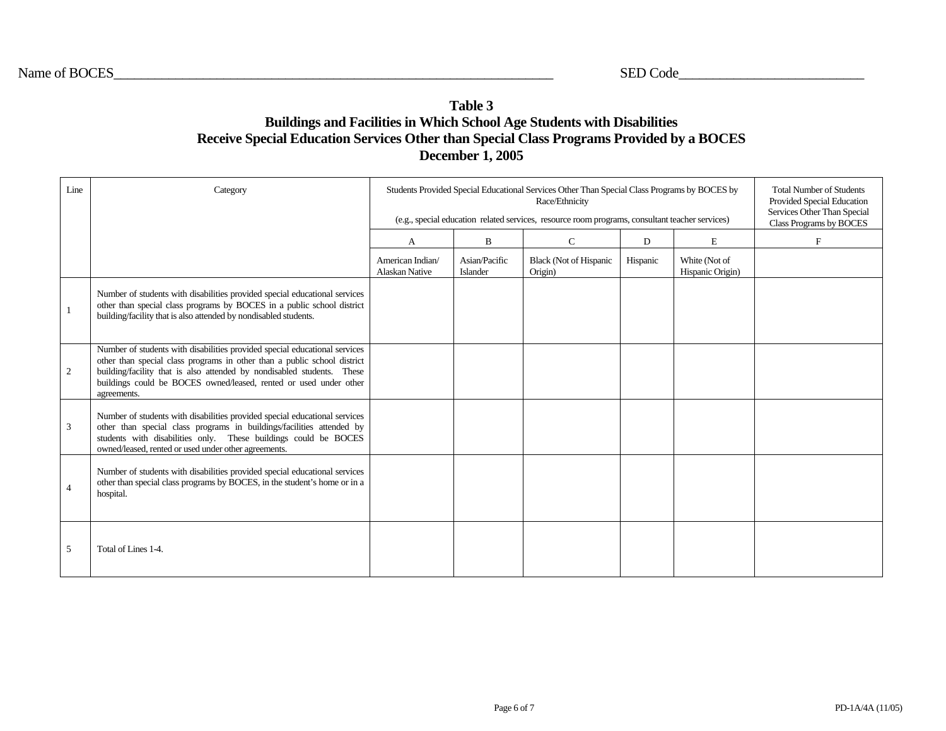## **Table 3 Buildings and Facilities in Which School Age Students with Disabilities Receive Special Education Services Other than Special Class Programs Provided by a BOCES December 1, 2005**

| Line           | Category                                                                                                                                                                                                                                                                                                             | Students Provided Special Educational Services Other Than Special Class Programs by BOCES by<br>(e.g., special education related services, resource room programs, consultant teacher services) | <b>Total Number of Students</b><br>Provided Special Education<br>Services Other Than Special<br>Class Programs by BOCES |                                          |          |                                   |   |
|----------------|----------------------------------------------------------------------------------------------------------------------------------------------------------------------------------------------------------------------------------------------------------------------------------------------------------------------|-------------------------------------------------------------------------------------------------------------------------------------------------------------------------------------------------|-------------------------------------------------------------------------------------------------------------------------|------------------------------------------|----------|-----------------------------------|---|
|                |                                                                                                                                                                                                                                                                                                                      | A                                                                                                                                                                                               | B                                                                                                                       | $\mathbf C$                              | D        | E                                 | F |
|                |                                                                                                                                                                                                                                                                                                                      | American Indian/<br>Alaskan Native                                                                                                                                                              | Asian/Pacific<br>Islander                                                                                               | <b>Black (Not of Hispanic</b><br>Origin) | Hispanic | White (Not of<br>Hispanic Origin) |   |
| $\mathbf{1}$   | Number of students with disabilities provided special educational services<br>other than special class programs by BOCES in a public school district<br>building/facility that is also attended by nondisabled students.                                                                                             |                                                                                                                                                                                                 |                                                                                                                         |                                          |          |                                   |   |
| 2              | Number of students with disabilities provided special educational services<br>other than special class programs in other than a public school district<br>building/facility that is also attended by nondisabled students. These<br>buildings could be BOCES owned/leased, rented or used under other<br>agreements. |                                                                                                                                                                                                 |                                                                                                                         |                                          |          |                                   |   |
| 3              | Number of students with disabilities provided special educational services<br>other than special class programs in buildings/facilities attended by<br>students with disabilities only. These buildings could be BOCES<br>owned/leased, rented or used under other agreements.                                       |                                                                                                                                                                                                 |                                                                                                                         |                                          |          |                                   |   |
| $\overline{4}$ | Number of students with disabilities provided special educational services<br>other than special class programs by BOCES, in the student's home or in a<br>hospital.                                                                                                                                                 |                                                                                                                                                                                                 |                                                                                                                         |                                          |          |                                   |   |
| 5              | Total of Lines 1-4.                                                                                                                                                                                                                                                                                                  |                                                                                                                                                                                                 |                                                                                                                         |                                          |          |                                   |   |